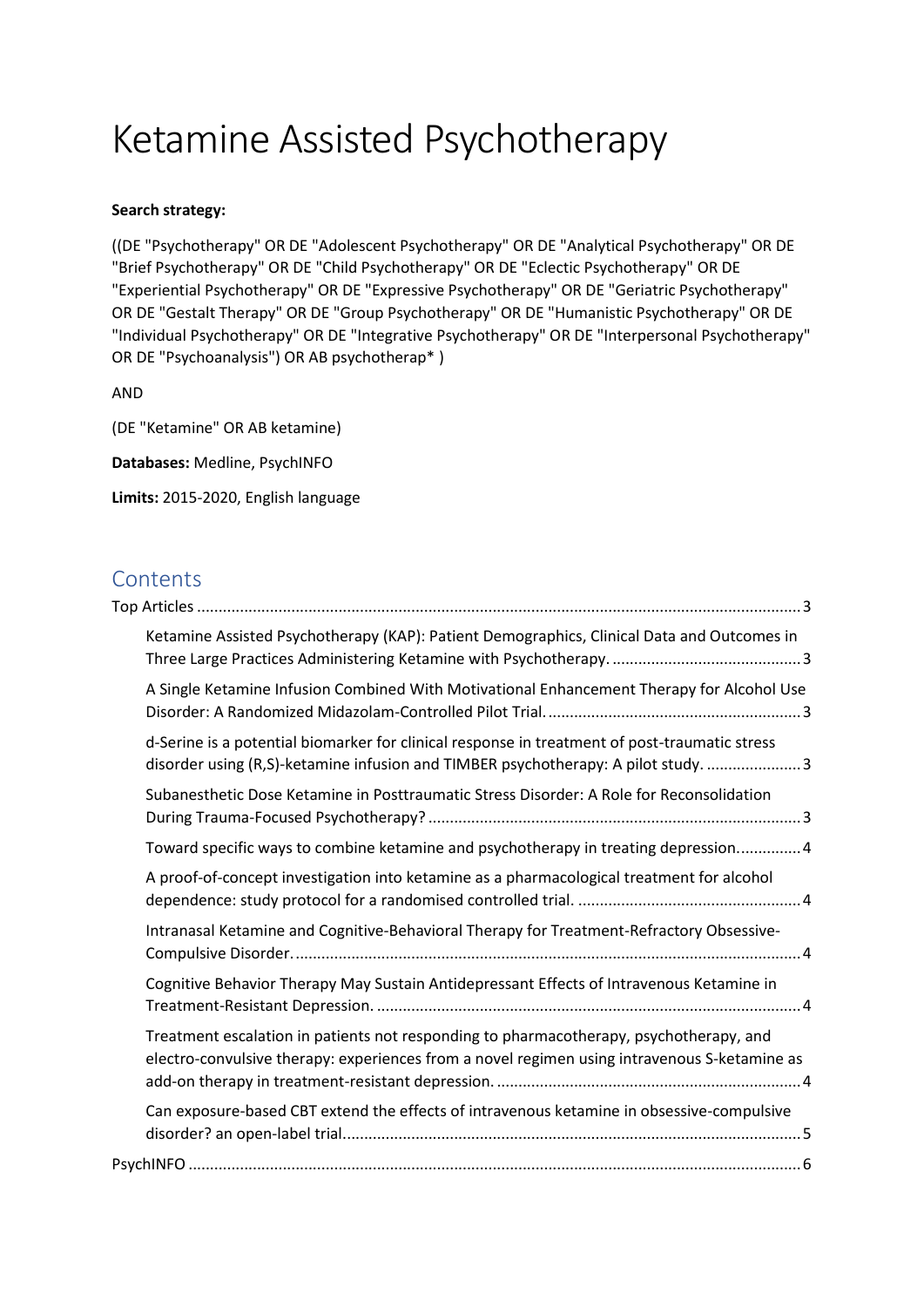# Ketamine Assisted Psychotherapy

## **Search strategy:**

((DE "Psychotherapy" OR DE "Adolescent Psychotherapy" OR DE "Analytical Psychotherapy" OR DE "Brief Psychotherapy" OR DE "Child Psychotherapy" OR DE "Eclectic Psychotherapy" OR DE "Experiential Psychotherapy" OR DE "Expressive Psychotherapy" OR DE "Geriatric Psychotherapy" OR DE "Gestalt Therapy" OR DE "Group Psychotherapy" OR DE "Humanistic Psychotherapy" OR DE "Individual Psychotherapy" OR DE "Integrative Psychotherapy" OR DE "Interpersonal Psychotherapy" OR DE "Psychoanalysis") OR AB psychotherap\* )

AND

(DE "Ketamine" OR AB ketamine)

**Databases:** Medline, PsychINFO

**Limits:** 2015-2020, English language

# **Contents**

| Ketamine Assisted Psychotherapy (KAP): Patient Demographics, Clinical Data and Outcomes in                                                                                             |  |
|----------------------------------------------------------------------------------------------------------------------------------------------------------------------------------------|--|
| A Single Ketamine Infusion Combined With Motivational Enhancement Therapy for Alcohol Use                                                                                              |  |
| d-Serine is a potential biomarker for clinical response in treatment of post-traumatic stress<br>disorder using (R,S)-ketamine infusion and TIMBER psychotherapy: A pilot study.  3    |  |
| Subanesthetic Dose Ketamine in Posttraumatic Stress Disorder: A Role for Reconsolidation                                                                                               |  |
| Toward specific ways to combine ketamine and psychotherapy in treating depression 4                                                                                                    |  |
| A proof-of-concept investigation into ketamine as a pharmacological treatment for alcohol                                                                                              |  |
| Intranasal Ketamine and Cognitive-Behavioral Therapy for Treatment-Refractory Obsessive-                                                                                               |  |
| Cognitive Behavior Therapy May Sustain Antidepressant Effects of Intravenous Ketamine in                                                                                               |  |
| Treatment escalation in patients not responding to pharmacotherapy, psychotherapy, and<br>electro-convulsive therapy: experiences from a novel regimen using intravenous S-ketamine as |  |
| Can exposure-based CBT extend the effects of intravenous ketamine in obsessive-compulsive                                                                                              |  |
|                                                                                                                                                                                        |  |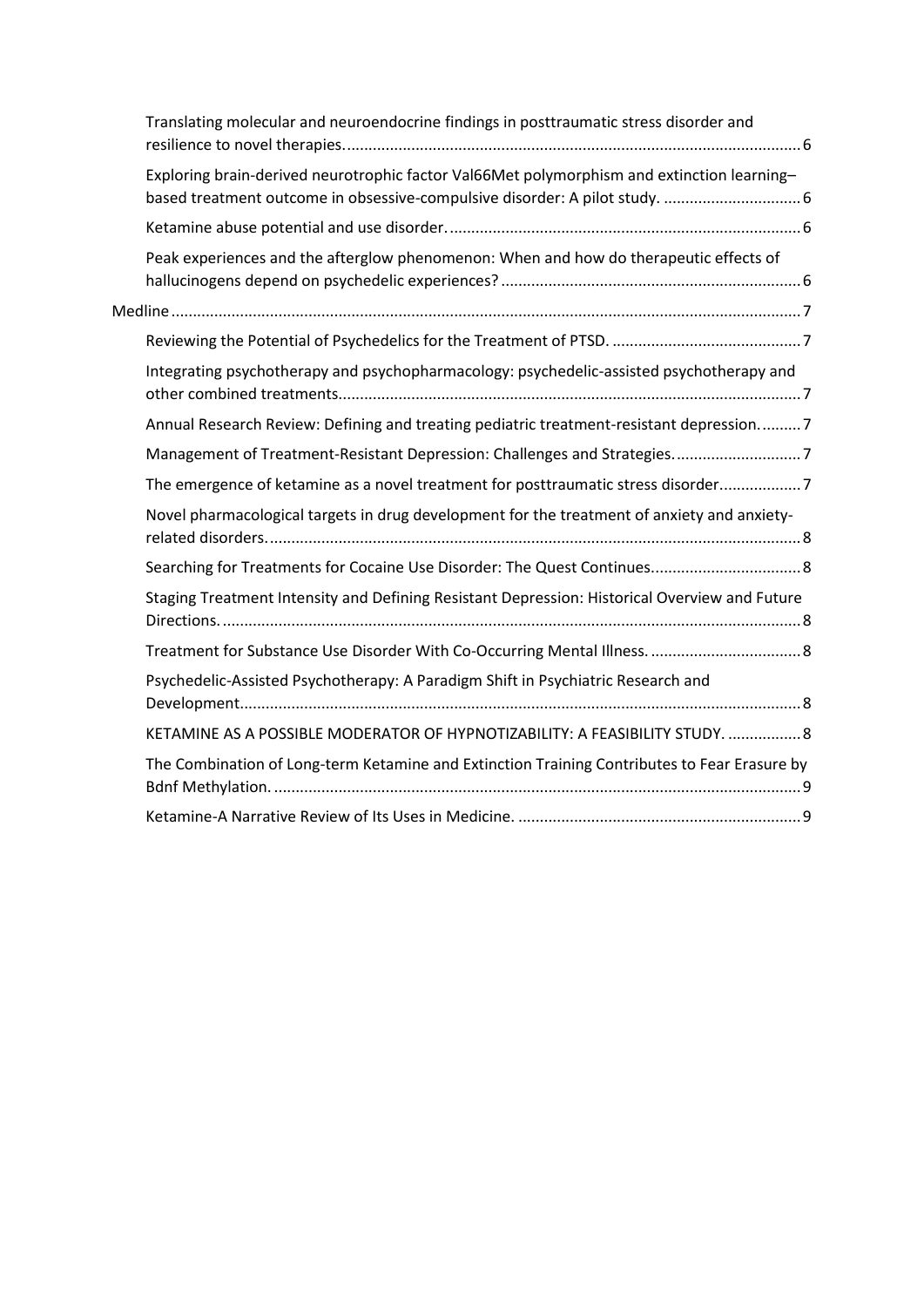| Translating molecular and neuroendocrine findings in posttraumatic stress disorder and        |  |
|-----------------------------------------------------------------------------------------------|--|
| Exploring brain-derived neurotrophic factor Val66Met polymorphism and extinction learning-    |  |
|                                                                                               |  |
| Peak experiences and the afterglow phenomenon: When and how do therapeutic effects of         |  |
|                                                                                               |  |
|                                                                                               |  |
| Integrating psychotherapy and psychopharmacology: psychedelic-assisted psychotherapy and      |  |
| Annual Research Review: Defining and treating pediatric treatment-resistant depression7       |  |
|                                                                                               |  |
| The emergence of ketamine as a novel treatment for posttraumatic stress disorder7             |  |
| Novel pharmacological targets in drug development for the treatment of anxiety and anxiety-   |  |
|                                                                                               |  |
| Staging Treatment Intensity and Defining Resistant Depression: Historical Overview and Future |  |
|                                                                                               |  |
| Psychedelic-Assisted Psychotherapy: A Paradigm Shift in Psychiatric Research and              |  |
| KETAMINE AS A POSSIBLE MODERATOR OF HYPNOTIZABILITY: A FEASIBILITY STUDY.  8                  |  |
| The Combination of Long-term Ketamine and Extinction Training Contributes to Fear Erasure by  |  |
|                                                                                               |  |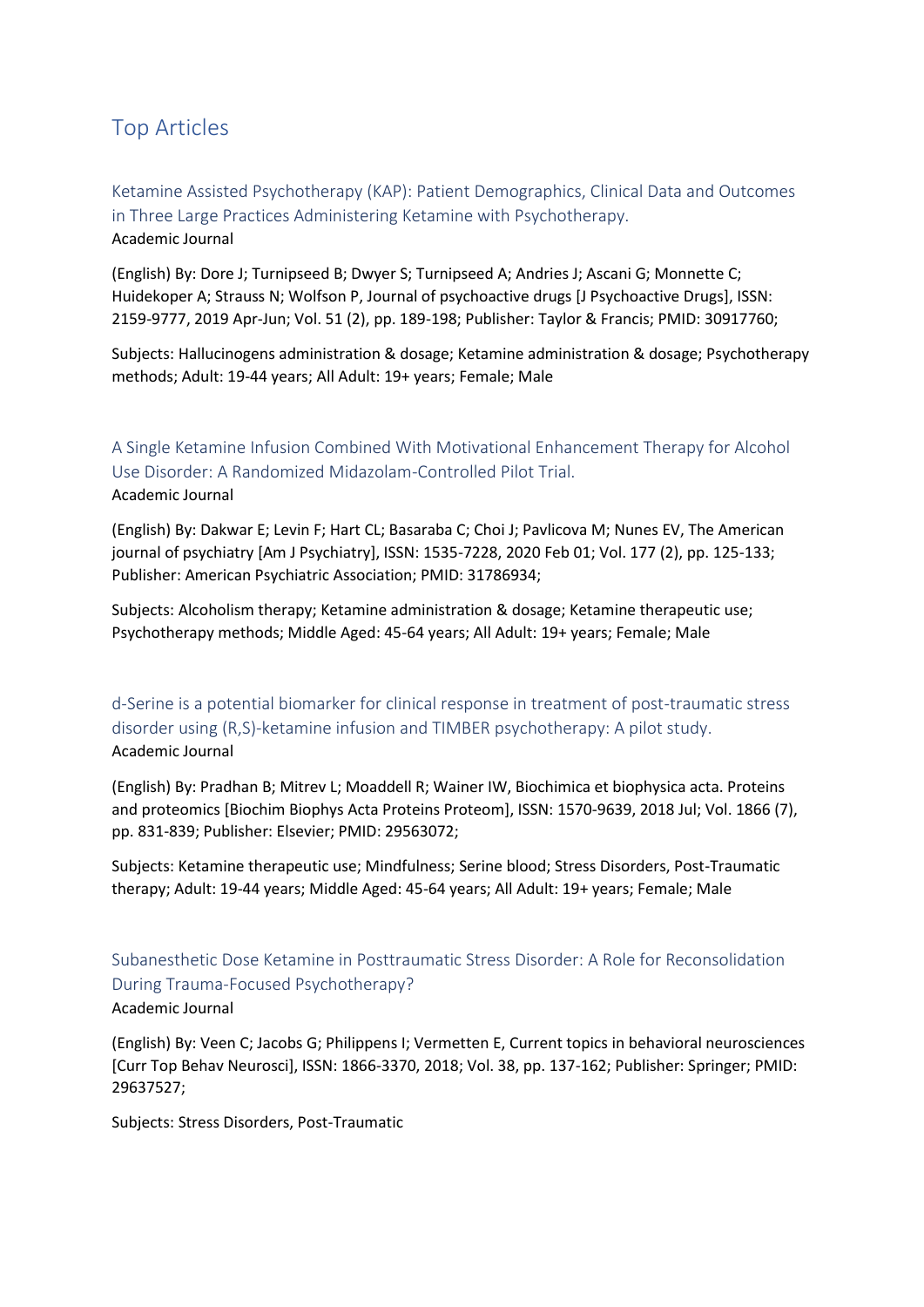# <span id="page-2-0"></span>Top Articles

<span id="page-2-1"></span>Ketamine Assisted Psychotherapy (KAP): Patient Demographics, Clinical Data and Outcomes in Three Large Practices Administering Ketamine with Psychotherapy. Academic Journal

(English) By: Dore J; Turnipseed B; Dwyer S; Turnipseed A; Andries J; Ascani G; Monnette C; Huidekoper A; Strauss N; Wolfson P, Journal of psychoactive drugs [J Psychoactive Drugs], ISSN: 2159-9777, 2019 Apr-Jun; Vol. 51 (2), pp. 189-198; Publisher: Taylor & Francis; PMID: 30917760;

Subjects: Hallucinogens administration & dosage; Ketamine administration & dosage; Psychotherapy methods; Adult: 19-44 years; All Adult: 19+ years; Female; Male

# <span id="page-2-2"></span>A Single Ketamine Infusion Combined With Motivational Enhancement Therapy for Alcohol Use Disorder: A Randomized Midazolam-Controlled Pilot Trial. Academic Journal

(English) By: Dakwar E; Levin F; Hart CL; Basaraba C; Choi J; Pavlicova M; Nunes EV, The American journal of psychiatry [Am J Psychiatry], ISSN: 1535-7228, 2020 Feb 01; Vol. 177 (2), pp. 125-133; Publisher: American Psychiatric Association; PMID: 31786934;

Subjects: Alcoholism therapy; Ketamine administration & dosage; Ketamine therapeutic use; Psychotherapy methods; Middle Aged: 45-64 years; All Adult: 19+ years; Female; Male

<span id="page-2-3"></span>d-Serine is a potential biomarker for clinical response in treatment of post-traumatic stress disorder using (R,S)-ketamine infusion and TIMBER psychotherapy: A pilot study. Academic Journal

(English) By: Pradhan B; Mitrev L; Moaddell R; Wainer IW, Biochimica et biophysica acta. Proteins and proteomics [Biochim Biophys Acta Proteins Proteom], ISSN: 1570-9639, 2018 Jul; Vol. 1866 (7), pp. 831-839; Publisher: Elsevier; PMID: 29563072;

Subjects: Ketamine therapeutic use; Mindfulness; Serine blood; Stress Disorders, Post-Traumatic therapy; Adult: 19-44 years; Middle Aged: 45-64 years; All Adult: 19+ years; Female; Male

# <span id="page-2-4"></span>Subanesthetic Dose Ketamine in Posttraumatic Stress Disorder: A Role for Reconsolidation During Trauma-Focused Psychotherapy?

#### Academic Journal

(English) By: Veen C; Jacobs G; Philippens I; Vermetten E, Current topics in behavioral neurosciences [Curr Top Behav Neurosci], ISSN: 1866-3370, 2018; Vol. 38, pp. 137-162; Publisher: Springer; PMID: 29637527;

Subjects: Stress Disorders, Post-Traumatic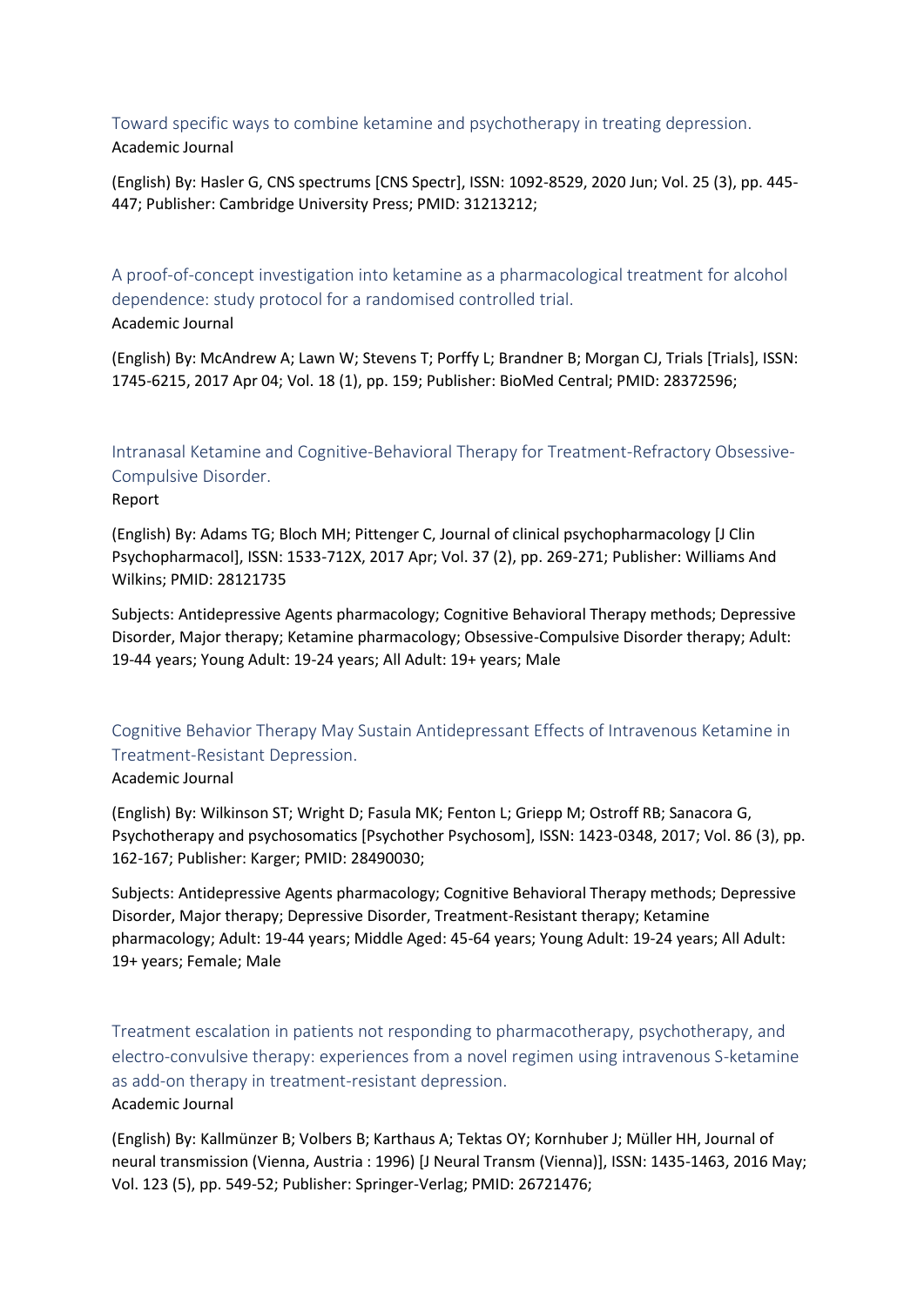<span id="page-3-0"></span>Toward specific ways to combine ketamine and psychotherapy in treating depression. Academic Journal

(English) By: Hasler G, CNS spectrums [CNS Spectr], ISSN: 1092-8529, 2020 Jun; Vol. 25 (3), pp. 445- 447; Publisher: Cambridge University Press; PMID: 31213212;

<span id="page-3-1"></span>A proof-of-concept investigation into ketamine as a pharmacological treatment for alcohol dependence: study protocol for a randomised controlled trial. Academic Journal

(English) By: McAndrew A; Lawn W; Stevens T; Porffy L; Brandner B; Morgan CJ, Trials [Trials], ISSN: 1745-6215, 2017 Apr 04; Vol. 18 (1), pp. 159; Publisher: BioMed Central; PMID: 28372596;

<span id="page-3-2"></span>Intranasal Ketamine and Cognitive-Behavioral Therapy for Treatment-Refractory Obsessive-Compulsive Disorder.

Report

(English) By: Adams TG; Bloch MH; Pittenger C, Journal of clinical psychopharmacology [J Clin Psychopharmacol], ISSN: 1533-712X, 2017 Apr; Vol. 37 (2), pp. 269-271; Publisher: Williams And Wilkins; PMID: 28121735

Subjects: Antidepressive Agents pharmacology; Cognitive Behavioral Therapy methods; Depressive Disorder, Major therapy; Ketamine pharmacology; Obsessive-Compulsive Disorder therapy; Adult: 19-44 years; Young Adult: 19-24 years; All Adult: 19+ years; Male

<span id="page-3-3"></span>Cognitive Behavior Therapy May Sustain Antidepressant Effects of Intravenous Ketamine in Treatment-Resistant Depression.

## Academic Journal

(English) By: Wilkinson ST; Wright D; Fasula MK; Fenton L; Griepp M; Ostroff RB; Sanacora G, Psychotherapy and psychosomatics [Psychother Psychosom], ISSN: 1423-0348, 2017; Vol. 86 (3), pp. 162-167; Publisher: Karger; PMID: 28490030;

Subjects: Antidepressive Agents pharmacology; Cognitive Behavioral Therapy methods; Depressive Disorder, Major therapy; Depressive Disorder, Treatment-Resistant therapy; Ketamine pharmacology; Adult: 19-44 years; Middle Aged: 45-64 years; Young Adult: 19-24 years; All Adult: 19+ years; Female; Male

<span id="page-3-4"></span>Treatment escalation in patients not responding to pharmacotherapy, psychotherapy, and electro-convulsive therapy: experiences from a novel regimen using intravenous S-ketamine as add-on therapy in treatment-resistant depression. Academic Journal

(English) By: Kallmünzer B; Volbers B; Karthaus A; Tektas OY; Kornhuber J; Müller HH, Journal of neural transmission (Vienna, Austria : 1996) [J Neural Transm (Vienna)], ISSN: 1435-1463, 2016 May; Vol. 123 (5), pp. 549-52; Publisher: Springer-Verlag; PMID: 26721476;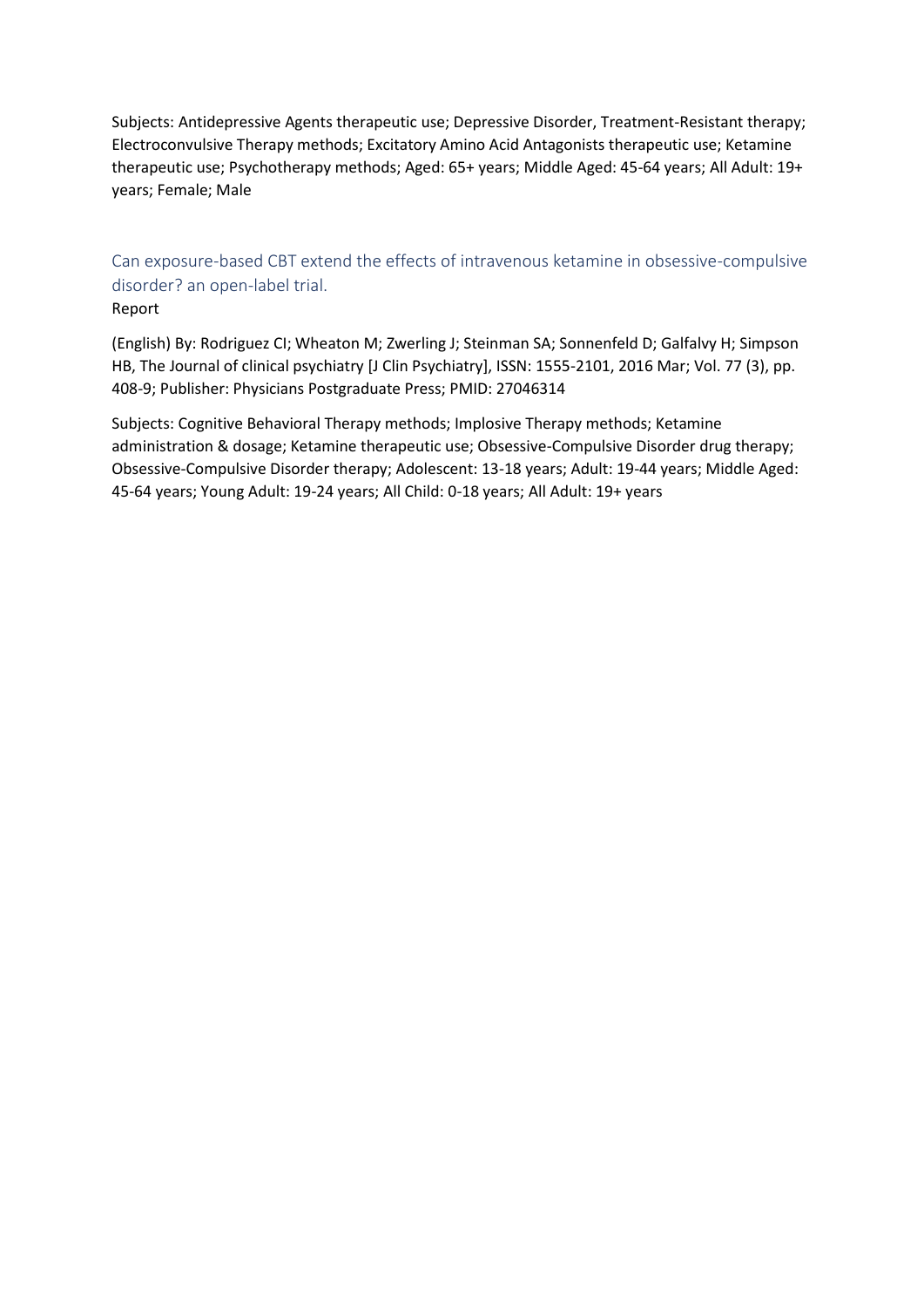Subjects: Antidepressive Agents therapeutic use; Depressive Disorder, Treatment-Resistant therapy; Electroconvulsive Therapy methods; Excitatory Amino Acid Antagonists therapeutic use; Ketamine therapeutic use; Psychotherapy methods; Aged: 65+ years; Middle Aged: 45-64 years; All Adult: 19+ years; Female; Male

# <span id="page-4-0"></span>Can exposure-based CBT extend the effects of intravenous ketamine in obsessive-compulsive disorder? an open-label trial.

#### Report

(English) By: Rodriguez CI; Wheaton M; Zwerling J; Steinman SA; Sonnenfeld D; Galfalvy H; Simpson HB, The Journal of clinical psychiatry [J Clin Psychiatry], ISSN: 1555-2101, 2016 Mar; Vol. 77 (3), pp. 408-9; Publisher: Physicians Postgraduate Press; PMID: 27046314

Subjects: Cognitive Behavioral Therapy methods; Implosive Therapy methods; Ketamine administration & dosage; Ketamine therapeutic use; Obsessive-Compulsive Disorder drug therapy; Obsessive-Compulsive Disorder therapy; Adolescent: 13-18 years; Adult: 19-44 years; Middle Aged: 45-64 years; Young Adult: 19-24 years; All Child: 0-18 years; All Adult: 19+ years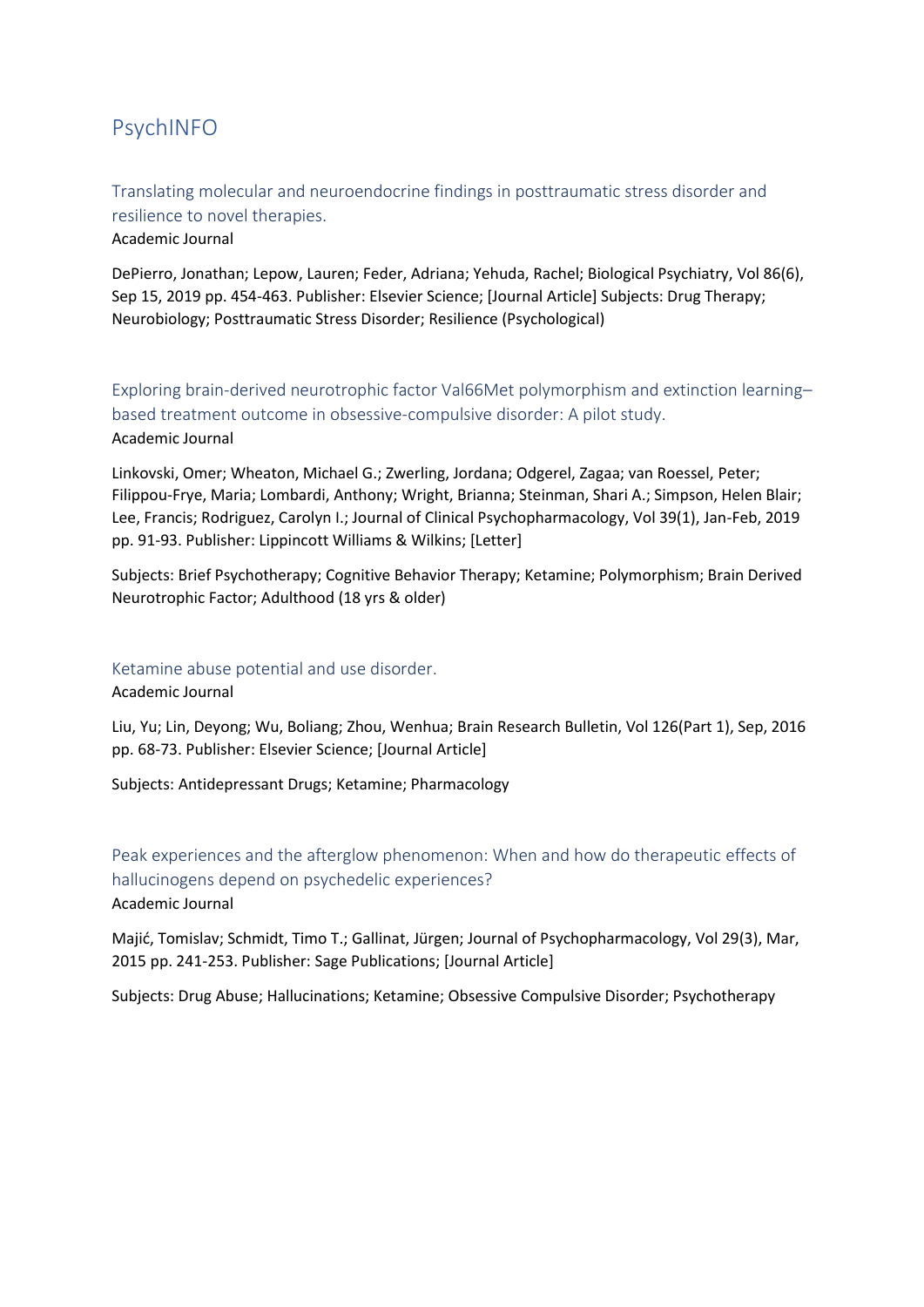# <span id="page-5-0"></span>PsychINFO

<span id="page-5-1"></span>Translating molecular and neuroendocrine findings in posttraumatic stress disorder and resilience to novel therapies. Academic Journal

DePierro, Jonathan; Lepow, Lauren; Feder, Adriana; Yehuda, Rachel; Biological Psychiatry, Vol 86(6), Sep 15, 2019 pp. 454-463. Publisher: Elsevier Science; [Journal Article] Subjects: Drug Therapy; Neurobiology; Posttraumatic Stress Disorder; Resilience (Psychological)

<span id="page-5-2"></span>Exploring brain-derived neurotrophic factor Val66Met polymorphism and extinction learning– based treatment outcome in obsessive-compulsive disorder: A pilot study. Academic Journal

Linkovski, Omer; Wheaton, Michael G.; Zwerling, Jordana; Odgerel, Zagaa; van Roessel, Peter; Filippou-Frye, Maria; Lombardi, Anthony; Wright, Brianna; Steinman, Shari A.; Simpson, Helen Blair; Lee, Francis; Rodriguez, Carolyn I.; Journal of Clinical Psychopharmacology, Vol 39(1), Jan-Feb, 2019 pp. 91-93. Publisher: Lippincott Williams & Wilkins; [Letter]

Subjects: Brief Psychotherapy; Cognitive Behavior Therapy; Ketamine; Polymorphism; Brain Derived Neurotrophic Factor; Adulthood (18 yrs & older)

#### <span id="page-5-3"></span>Ketamine abuse potential and use disorder.

Academic Journal

Liu, Yu; Lin, Deyong; Wu, Boliang; Zhou, Wenhua; Brain Research Bulletin, Vol 126(Part 1), Sep, 2016 pp. 68-73. Publisher: Elsevier Science; [Journal Article]

Subjects: Antidepressant Drugs; Ketamine; Pharmacology

<span id="page-5-4"></span>Peak experiences and the afterglow phenomenon: When and how do therapeutic effects of hallucinogens depend on psychedelic experiences? Academic Journal

Majić, Tomislav; Schmidt, Timo T.; Gallinat, Jürgen; Journal of Psychopharmacology, Vol 29(3), Mar, 2015 pp. 241-253. Publisher: Sage Publications; [Journal Article]

Subjects: Drug Abuse; Hallucinations; Ketamine; Obsessive Compulsive Disorder; Psychotherapy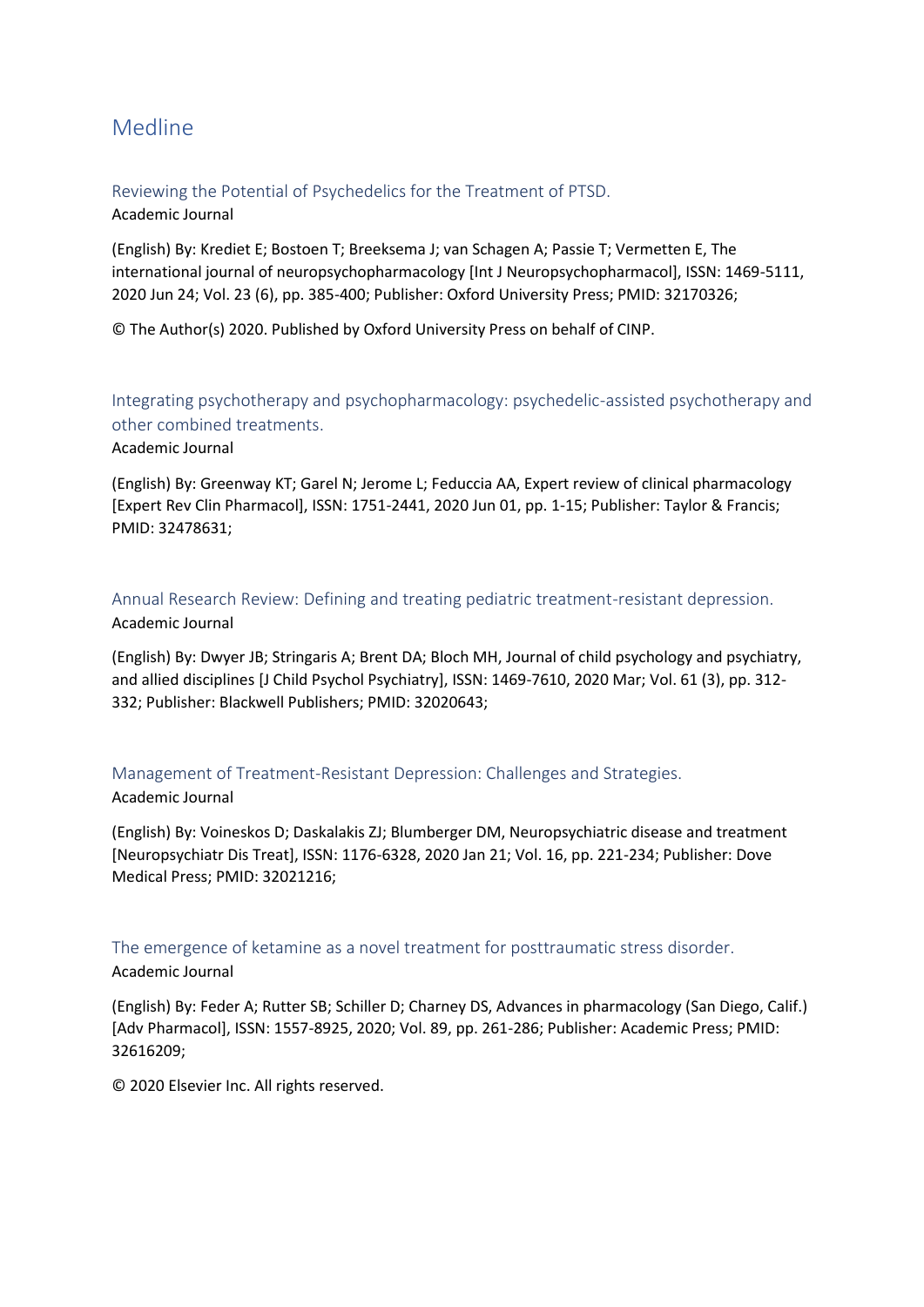# <span id="page-6-0"></span>Medline

<span id="page-6-1"></span>Reviewing the Potential of Psychedelics for the Treatment of PTSD. Academic Journal

(English) By: Krediet E; Bostoen T; Breeksema J; van Schagen A; Passie T; Vermetten E, The international journal of neuropsychopharmacology [Int J Neuropsychopharmacol], ISSN: 1469-5111, 2020 Jun 24; Vol. 23 (6), pp. 385-400; Publisher: Oxford University Press; PMID: 32170326;

© The Author(s) 2020. Published by Oxford University Press on behalf of CINP.

<span id="page-6-2"></span>Integrating psychotherapy and psychopharmacology: psychedelic-assisted psychotherapy and other combined treatments.

Academic Journal

(English) By: Greenway KT; Garel N; Jerome L; Feduccia AA, Expert review of clinical pharmacology [Expert Rev Clin Pharmacol], ISSN: 1751-2441, 2020 Jun 01, pp. 1-15; Publisher: Taylor & Francis; PMID: 32478631;

<span id="page-6-3"></span>Annual Research Review: Defining and treating pediatric treatment-resistant depression. Academic Journal

(English) By: Dwyer JB; Stringaris A; Brent DA; Bloch MH, Journal of child psychology and psychiatry, and allied disciplines [J Child Psychol Psychiatry], ISSN: 1469-7610, 2020 Mar; Vol. 61 (3), pp. 312- 332; Publisher: Blackwell Publishers; PMID: 32020643;

<span id="page-6-4"></span>Management of Treatment-Resistant Depression: Challenges and Strategies.

#### Academic Journal

(English) By: Voineskos D; Daskalakis ZJ; Blumberger DM, Neuropsychiatric disease and treatment [Neuropsychiatr Dis Treat], ISSN: 1176-6328, 2020 Jan 21; Vol. 16, pp. 221-234; Publisher: Dove Medical Press; PMID: 32021216;

<span id="page-6-5"></span>The emergence of ketamine as a novel treatment for posttraumatic stress disorder.

## Academic Journal

(English) By: Feder A; Rutter SB; Schiller D; Charney DS, Advances in pharmacology (San Diego, Calif.) [Adv Pharmacol], ISSN: 1557-8925, 2020; Vol. 89, pp. 261-286; Publisher: Academic Press; PMID: 32616209;

© 2020 Elsevier Inc. All rights reserved.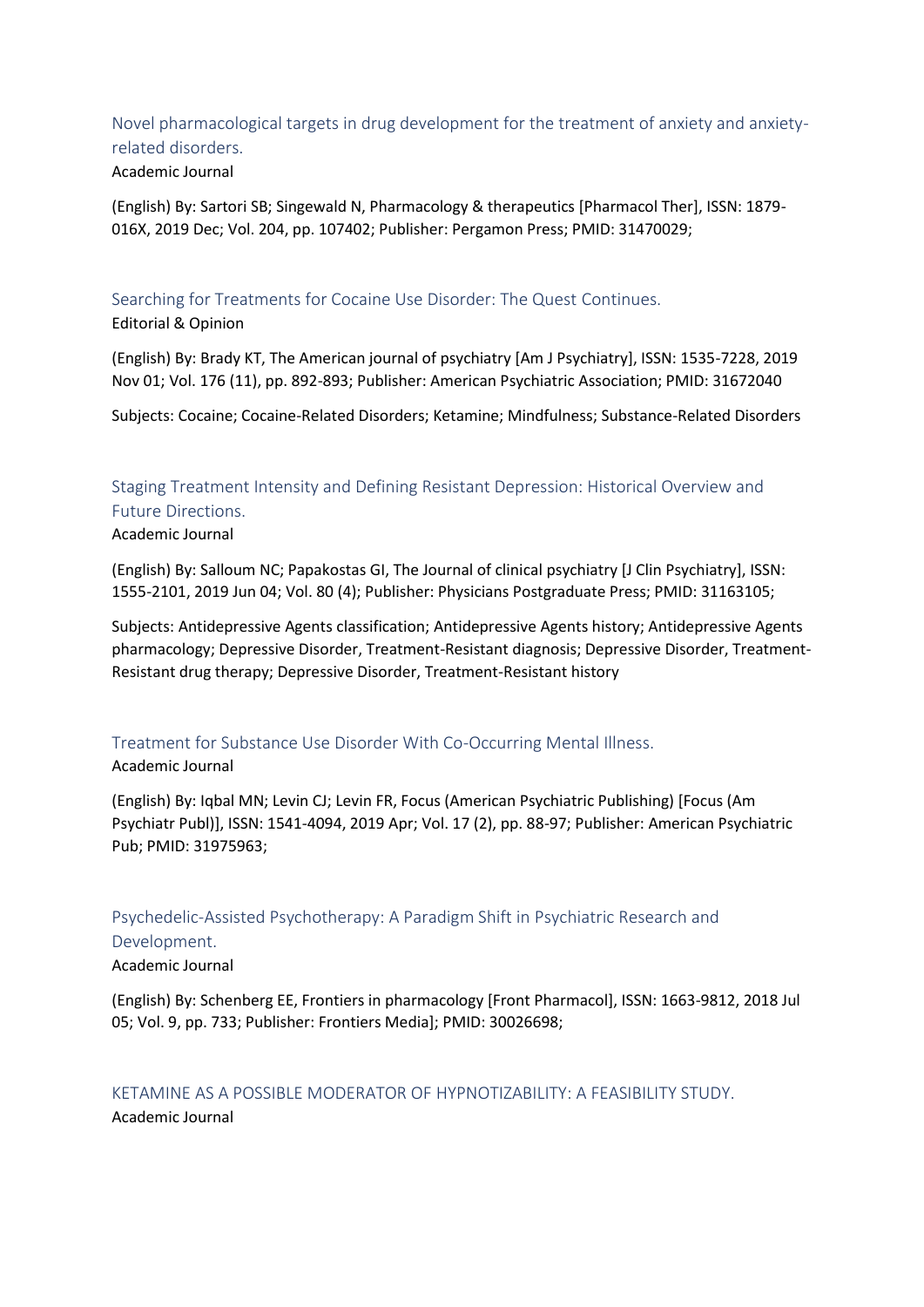<span id="page-7-0"></span>Novel pharmacological targets in drug development for the treatment of anxiety and anxietyrelated disorders.

#### Academic Journal

(English) By: Sartori SB; Singewald N, Pharmacology & therapeutics [Pharmacol Ther], ISSN: 1879- 016X, 2019 Dec; Vol. 204, pp. 107402; Publisher: Pergamon Press; PMID: 31470029;

<span id="page-7-1"></span>Searching for Treatments for Cocaine Use Disorder: The Quest Continues. Editorial & Opinion

(English) By: Brady KT, The American journal of psychiatry [Am J Psychiatry], ISSN: 1535-7228, 2019 Nov 01; Vol. 176 (11), pp. 892-893; Publisher: American Psychiatric Association; PMID: 31672040

Subjects: Cocaine; Cocaine-Related Disorders; Ketamine; Mindfulness; Substance-Related Disorders

# <span id="page-7-2"></span>Staging Treatment Intensity and Defining Resistant Depression: Historical Overview and Future Directions.

Academic Journal

(English) By: Salloum NC; Papakostas GI, The Journal of clinical psychiatry [J Clin Psychiatry], ISSN: 1555-2101, 2019 Jun 04; Vol. 80 (4); Publisher: Physicians Postgraduate Press; PMID: 31163105;

Subjects: Antidepressive Agents classification; Antidepressive Agents history; Antidepressive Agents pharmacology; Depressive Disorder, Treatment-Resistant diagnosis; Depressive Disorder, Treatment-Resistant drug therapy; Depressive Disorder, Treatment-Resistant history

## <span id="page-7-3"></span>Treatment for Substance Use Disorder With Co-Occurring Mental Illness.

#### Academic Journal

(English) By: Iqbal MN; Levin CJ; Levin FR, Focus (American Psychiatric Publishing) [Focus (Am Psychiatr Publ)], ISSN: 1541-4094, 2019 Apr; Vol. 17 (2), pp. 88-97; Publisher: American Psychiatric Pub; PMID: 31975963;

## <span id="page-7-4"></span>Psychedelic-Assisted Psychotherapy: A Paradigm Shift in Psychiatric Research and

#### Development.

Academic Journal

(English) By: Schenberg EE, Frontiers in pharmacology [Front Pharmacol], ISSN: 1663-9812, 2018 Jul 05; Vol. 9, pp. 733; Publisher: Frontiers Media]; PMID: 30026698;

## <span id="page-7-5"></span>KETAMINE AS A POSSIBLE MODERATOR OF HYPNOTIZABILITY: A FEASIBILITY STUDY. Academic Journal